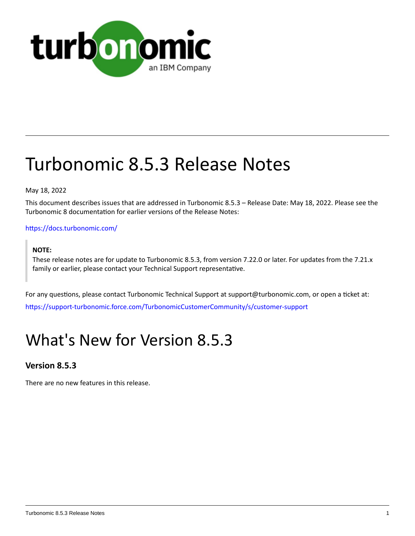

# Turbonomic 8.5.3 Release Notes

May 18, 2022

This document describes issues that are addressed in Turbonomic 8.5.3 – Release Date: May 18, 2022. Please see the Turbonomic 8 documentation for earlier versions of the Release Notes:

### <https://docs.turbonomic.com/>

#### **NOTE:**

These release notes are for update to Turbonomic 8.5.3, from version 7.22.0 or later. For updates from the 7.21.x family or earlier, please contact your Technical Support representative.

For any questions, please contact Turbonomic Technical Support at support@turbonomic.com, or open a ticket at: [https://support-turbonomic.force.com/TurbonomicCustomerCommunity/s/customer-support](https://greencircle.vmturbo.com/support)

## What's New for Version 8.5.3

## **Version 8.5.3**

There are no new features in this release.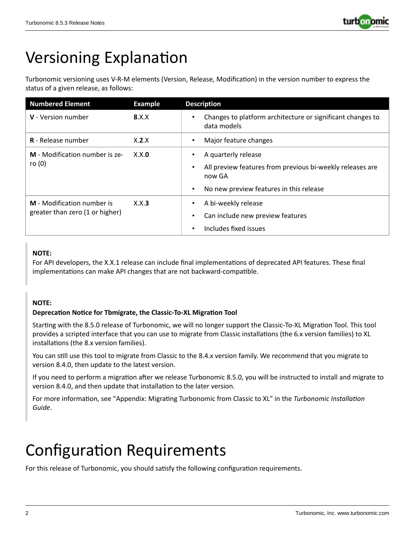

## Versioning Explanation

Turbonomic versioning uses V-R-M elements (Version, Release, Modification) in the version number to express the status of a given release, as follows:

| <b>Numbered Element</b>                                       | <b>Example</b> | <b>Description</b>                                                                                                                                                           |
|---------------------------------------------------------------|----------------|------------------------------------------------------------------------------------------------------------------------------------------------------------------------------|
| <b>V</b> - Version number                                     | 8.X.X          | Changes to platform architecture or significant changes to<br>$\bullet$<br>data models                                                                                       |
| <b>R</b> - Release number                                     | X.2.X          | Major feature changes<br>$\bullet$                                                                                                                                           |
| M - Modification number is ze-<br>ro $(0)$                    | X.X.0          | A quarterly release<br>$\bullet$<br>All preview features from previous bi-weekly releases are<br>$\bullet$<br>now GA<br>No new preview features in this release<br>$\bullet$ |
| M - Modification number is<br>greater than zero (1 or higher) | X.X.3          | A bi-weekly release<br>$\bullet$<br>Can include new preview features<br>٠<br>Includes fixed issues<br>$\bullet$                                                              |

## **NOTE:**

For API developers, the X.X.1 release can include final implementations of deprecated API features. These final implementations can make API changes that are not backward-compatible.

### **NOTE:**

### **Deprecation Notice for Tbmigrate, the Classic-To-XL Migration Tool**

Starting with the 8.5.0 release of Turbonomic, we will no longer support the Classic-To-XL Migration Tool. This tool provides a scripted interface that you can use to migrate from Classic installations (the 6.x version families) to XL installations (the 8.x version families).

You can still use this tool to migrate from Classic to the 8.4.x version family. We recommend that you migrate to version 8.4.0, then update to the latest version.

If you need to perform a migration after we release Turbonomic 8.5.0, you will be instructed to install and migrate to version 8.4.0, and then update that installation to the later version.

For more information, see "Appendix: Migrating Turbonomic from Classic to XL" in the *Turbonomic Installation Guide*.

## Configuration Requirements

For this release of Turbonomic, you should satisfy the following configuration requirements.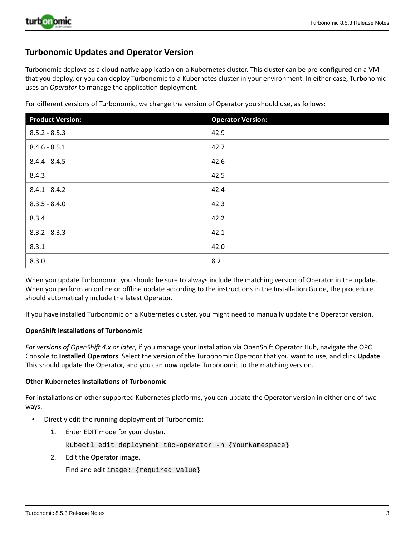

## **Turbonomic Updates and Operator Version**

Turbonomic deploys as a cloud-native application on a Kubernetes cluster. This cluster can be pre-configured on a VM that you deploy, or you can deploy Turbonomic to a Kubernetes cluster in your environment. In either case, Turbonomic uses an *Operator* to manage the application deployment.

| <b>Product Version:</b> | <b>Operator Version:</b> |
|-------------------------|--------------------------|
| $8.5.2 - 8.5.3$         | 42.9                     |
| $8.4.6 - 8.5.1$         | 42.7                     |
| $8.4.4 - 8.4.5$         | 42.6                     |
| 8.4.3                   | 42.5                     |
| $8.4.1 - 8.4.2$         | 42.4                     |
| $8.3.5 - 8.4.0$         | 42.3                     |
| 8.3.4                   | 42.2                     |
| $8.3.2 - 8.3.3$         | 42.1                     |
| 8.3.1                   | 42.0                     |
| 8.3.0                   | 8.2                      |

For different versions of Turbonomic, we change the version of Operator you should use, as follows:

When you update Turbonomic, you should be sure to always include the matching version of Operator in the update. When you perform an online or offline update according to the instructions in the Installation Guide, the procedure should automatically include the latest Operator.

If you have installed Turbonomic on a Kubernetes cluster, you might need to manually update the Operator version.

#### **OpenShift Installations of Turbonomic**

*For versions of OpenShift 4.x or later*, if you manage your installation via OpenShift Operator Hub, navigate the OPC Console to **Installed Operators**. Select the version of the Turbonomic Operator that you want to use, and click **Update**. This should update the Operator, and you can now update Turbonomic to the matching version.

#### **Other Kubernetes Installations of Turbonomic**

For installations on other supported Kubernetes platforms, you can update the Operator version in either one of two ways:

- Directly edit the running deployment of Turbonomic:
	- 1. Enter EDIT mode for your cluster.

kubectl edit deployment t8c-operator -n {YourNamespace}

2. Edit the Operator image.

```
Find and edit image: {required value}
```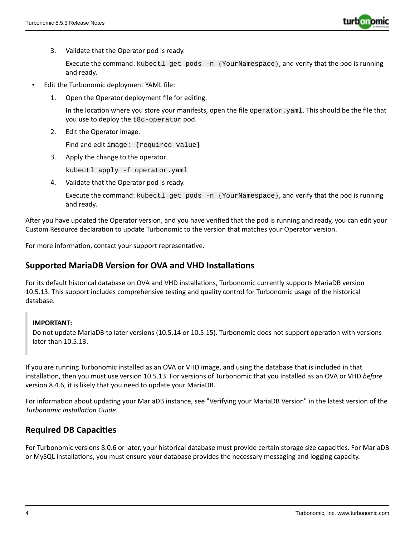

3. Validate that the Operator pod is ready.

Execute the command: kubectl get pods -n {YourNamespace}, and verify that the pod is running and ready.

- Edit the Turbonomic deployment YAML file:
	- 1. Open the Operator deployment file for editing.

In the location where you store your manifests, open the file operator.yaml. This should be the file that you use to deploy the t8c-operator pod.

2. Edit the Operator image.

Find and edit image: {required value}

3. Apply the change to the operator.

kubectl apply -f operator.yaml

4. Validate that the Operator pod is ready.

Execute the command: kubectl get pods  $-n$  {YourNamespace}, and verify that the pod is running and ready.

After you have updated the Operator version, and you have verified that the pod is running and ready, you can edit your Custom Resource declaration to update Turbonomic to the version that matches your Operator version.

For more information, contact your support representative.

## **Supported MariaDB Version for OVA and VHD Installations**

For its default historical database on OVA and VHD installations, Turbonomic currently supports MariaDB version 10.5.13. This support includes comprehensive testing and quality control for Turbonomic usage of the historical database.

#### **IMPORTANT:**

Do not update MariaDB to later versions (10.5.14 or 10.5.15). Turbonomic does not support operation with versions later than 10.5.13.

If you are running Turbonomic installed as an OVA or VHD image, and using the database that is included in that installation, then you must use version 10.5.13. For versions of Turbonomic that you installed as an OVA or VHD *before* version 8.4.6, it is likely that you need to update your MariaDB.

For information about updating your MariaDB instance, see "Verifying your MariaDB Version" in the latest version of the *Turbonomic Installation Guide*.

## **Required DB Capacities**

For Turbonomic versions 8.0.6 or later, your historical database must provide certain storage size capacities. For MariaDB or MySQL installations, you must ensure your database provides the necessary messaging and logging capacity.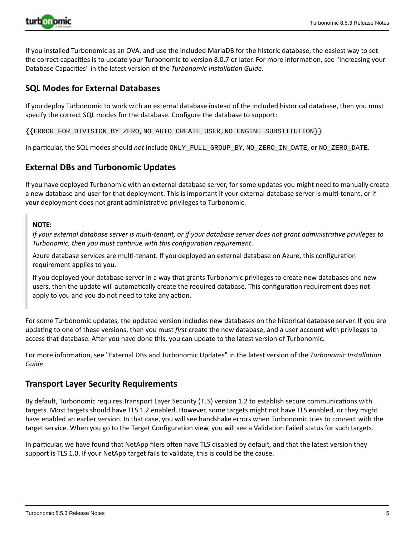

If you installed Turbonomic as an OVA, and use the included MariaDB for the historic database, the easiest way to set the correct capacities is to update your Turbonomic to version 8.0.7 or later. For more information, see "Increasing your Database Capacities" in the latest version of the *Turbonomic Installation Guide*.

## **SQL Modes for External Databases**

If you deploy Turbonomic to work with an external database instead of the included historical database, then you must specify the correct SQL modes for the database. Configure the database to support:

{{ERROR\_FOR\_DIVISION\_BY\_ZERO,NO\_AUTO\_CREATE\_USER,NO\_ENGINE\_SUBSTITUTION}}

In particular, the SQL modes should *not* include ONLY\_FULL\_GROUP\_BY, NO\_ZERO\_IN\_DATE, or NO\_ZERO\_DATE.

## **External DBs and Turbonomic Updates**

If you have deployed Turbonomic with an external database server, for some updates you might need to manually create a new database and user for that deployment. This is important if your external database server is multi-tenant, or if your deployment does not grant administrative privileges to Turbonomic.

#### **NOTE:**

If your external database server is multi-tenant, or if your database server does not grant administrative privileges to *Turbonomic, then you must continue with this configuration requirement*.

Azure database services are multi-tenant. If you deployed an external database on Azure, this configuration requirement applies to you.

If you deployed your database server in a way that grants Turbonomic privileges to create new databases and new users, then the update will automatically create the required database. This configuration requirement does not apply to you and you do not need to take any action.

For some Turbonomic updates, the updated version includes new databases on the historical database server. If you are updating to one of these versions, then you must *first* create the new database, and a user account with privileges to access that database. After you have done this, you can update to the latest version of Turbonomic.

For more information, see "External DBs and Turbonomic Updates" in the latest version of the *Turbonomic Installation Guide*.

### **Transport Layer Security Requirements**

By default, Turbonomic requires Transport Layer Security (TLS) version 1.2 to establish secure communications with targets. Most targets should have TLS 1.2 enabled. However, some targets might not have TLS enabled, or they might have enabled an earlier version. In that case, you will see handshake errors when Turbonomic tries to connect with the target service. When you go to the Target Configuration view, you will see a Validation Failed status for such targets.

In particular, we have found that NetApp filers often have TLS disabled by default, and that the latest version they support is TLS 1.0. If your NetApp target fails to validate, this is could be the cause.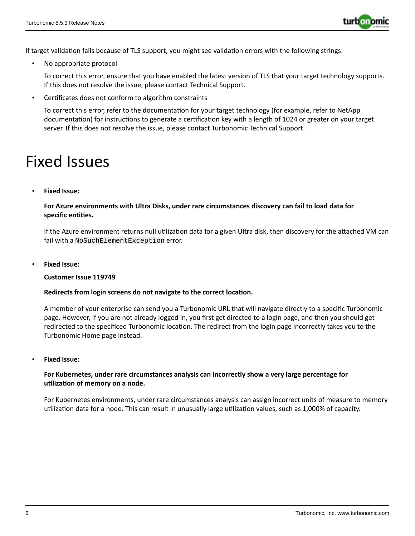

If target validation fails because of TLS support, you might see validation errors with the following strings:

No appropriate protocol

To correct this error, ensure that you have enabled the latest version of TLS that your target technology supports. If this does not resolve the issue, please contact Technical Support.

• Certificates does not conform to algorithm constraints

To correct this error, refer to the documentation for your target technology (for example, refer to NetApp documentation) for instructions to generate a certification key with a length of 1024 or greater on your target server. If this does not resolve the issue, please contact Turbonomic Technical Support.

## Fixed Issues

• **Fixed Issue:**

**For Azure environments with Ultra Disks, under rare circumstances discovery can fail to load data for specific entities.**

If the Azure environment returns null utilization data for a given Ultra disk, then discovery for the attached VM can fail with a NoSuchElementException error.

• **Fixed Issue:**

#### **Customer Issue 119749**

#### **Redirects from login screens do not navigate to the correct location.**

A member of your enterprise can send you a Turbonomic URL that will navigate directly to a specific Turbonomic page. However, if you are not already logged in, you first get directed to a login page, and then you should get redirected to the specificed Turbonomic location. The redirect from the login page incorrectly takes you to the Turbonomic Home page instead.

• **Fixed Issue:**

#### **For Kubernetes, under rare circumstances analysis can incorrectly show a very large percentage for utilization of memory on a node.**

For Kubernetes environments, under rare circumstances analysis can assign incorrect units of measure to memory utilization data for a node. This can result in unusually large utilization values, such as 1,000% of capacity.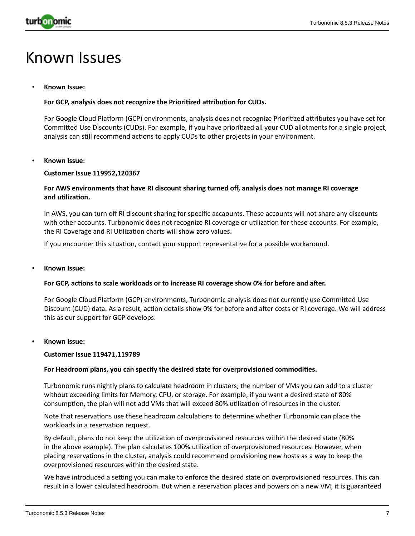

## Known Issues

#### • **Known Issue:**

#### **For GCP, analysis does not recognize the Prioritized attribution for CUDs.**

For Google Cloud Platform (GCP) environments, analysis does not recognize Prioritized attributes you have set for Committed Use Discounts (CUDs). For example, if you have prioritized all your CUD allotments for a single project, analysis can still recommend actions to apply CUDs to other projects in your environment.

#### • **Known Issue:**

#### **Customer Issue 119952,120367**

#### **For AWS environments that have RI discount sharing turned off, analysis does not manage RI coverage and utilization.**

In AWS, you can turn off RI discount sharing for specific accaounts. These accounts will not share any discounts with other accounts. Turbonomic does not recognize RI coverage or utilization for these accounts. For example, the RI Coverage and RI Utilization charts will show zero values.

If you encounter this situation, contact your support representative for a possible workaround.

#### • **Known Issue:**

#### **For GCP, actions to scale workloads or to increase RI coverage show 0% for before and after.**

For Google Cloud Platform (GCP) environments, Turbonomic analysis does not currently use Committed Use Discount (CUD) data. As a result, action details show 0% for before and after costs or RI coverage. We will address this as our support for GCP develops.

#### • **Known Issue:**

#### **Customer Issue 119471,119789**

#### **For Headroom plans, you can specify the desired state for overprovisioned commodities.**

Turbonomic runs nightly plans to calculate headroom in clusters; the number of VMs you can add to a cluster without exceeding limits for Memory, CPU, or storage. For example, if you want a desired state of 80% consumption, the plan will not add VMs that will exceed 80% utilization of resources in the cluster.

Note that reservations use these headroom calculations to determine whether Turbonomic can place the workloads in a reservation request.

By default, plans do not keep the utilization of overprovisioned resources within the desired state (80% in the above example). The plan calculates 100% utilization of overprovisioned resources. However, when placing reservations in the cluster, analysis could recommend provisioning new hosts as a way to keep the overprovisioned resources within the desired state.

We have introduced a setting you can make to enforce the desired state on overprovisioned resources. This can result in a lower calculated headroom. But when a reservation places and powers on a new VM, it is guaranteed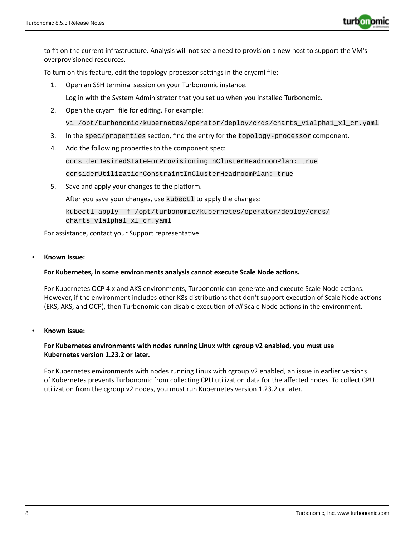

to fit on the current infrastructure. Analysis will not see a need to provision a new host to support the VM's overprovisioned resources.

To turn on this feature, edit the topology-processor settings in the cr.yaml file:

1. Open an SSH terminal session on your Turbonomic instance.

Log in with the System Administrator that you set up when you installed Turbonomic.

- 2. Open the cr.yaml file for editing. For example: vi /opt/turbonomic/kubernetes/operator/deploy/crds/charts\_v1alpha1\_xl\_cr.yaml
- 3. In the spec/properties section, find the entry for the topology-processor component.
- 4. Add the following properties to the component spec:

considerDesiredStateForProvisioningInClusterHeadroomPlan: true

considerUtilizationConstraintInClusterHeadroomPlan: true

5. Save and apply your changes to the platform.

After you save your changes, use kubectl to apply the changes:

```
kubectl apply -f /opt/turbonomic/kubernetes/operator/deploy/crds/
charts_v1alpha1_xl_cr.yaml
```
For assistance, contact your Support representative.

#### • **Known Issue:**

#### **For Kubernetes, in some environments analysis cannot execute Scale Node actions.**

For Kubernetes OCP 4.x and AKS environments, Turbonomic can generate and execute Scale Node actions. However, if the environment includes other K8s distributions that don't support execution of Scale Node actions (EKS, AKS, and OCP), then Turbonomic can disable execution of *all* Scale Node actions in the environment.

• **Known Issue:**

#### **For Kubernetes environments with nodes running Linux with cgroup v2 enabled, you must use Kubernetes version 1.23.2 or later.**

For Kubernetes environments with nodes running Linux with cgroup v2 enabled, an issue in earlier versions of Kubernetes prevents Turbonomic from collecting CPU utilization data for the affected nodes. To collect CPU utilization from the cgroup v2 nodes, you must run Kubernetes version 1.23.2 or later.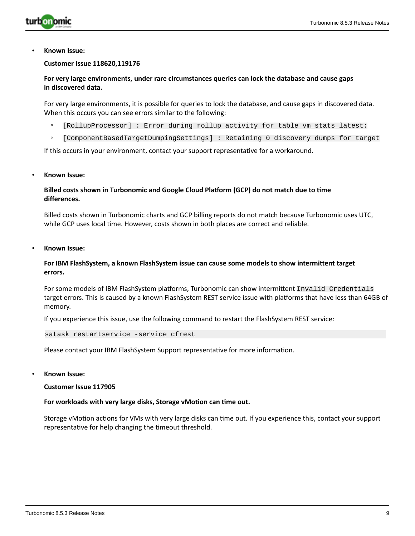

#### **Customer Issue 118620,119176**

**For very large environments, under rare circumstances queries can lock the database and cause gaps in discovered data.**

For very large environments, it is possible for queries to lock the database, and cause gaps in discovered data. When this occurs you can see errors similar to the following:

- [RollupProcessor] : Error during rollup activity for table vm\_stats\_latest:
- [ComponentBasedTargetDumpingSettings] : Retaining 0 discovery dumps for target

If this occurs in your environment, contact your support representative for a workaround.

#### • **Known Issue:**

#### **Billed costs shown in Turbonomic and Google Cloud Platform (GCP) do not match due to time differences.**

Billed costs shown in Turbonomic charts and GCP billing reports do not match because Turbonomic uses UTC, while GCP uses local time. However, costs shown in both places are correct and reliable.

• **Known Issue:**

#### **For IBM FlashSystem, a known FlashSystem issue can cause some models to show intermittent target errors.**

For some models of IBM FlashSystem platforms, Turbonomic can show intermittent Invalid Credentials target errors. This is caused by a known FlashSystem REST service issue with platforms that have less than 64GB of memory.

If you experience this issue, use the following command to restart the FlashSystem REST service:

satask restartservice -service cfrest

Please contact your IBM FlashSystem Support representative for more information.

• **Known Issue:**

**Customer Issue 117905**

#### **For workloads with very large disks, Storage vMotion can time out.**

Storage vMotion actions for VMs with very large disks can time out. If you experience this, contact your support representative for help changing the timeout threshold.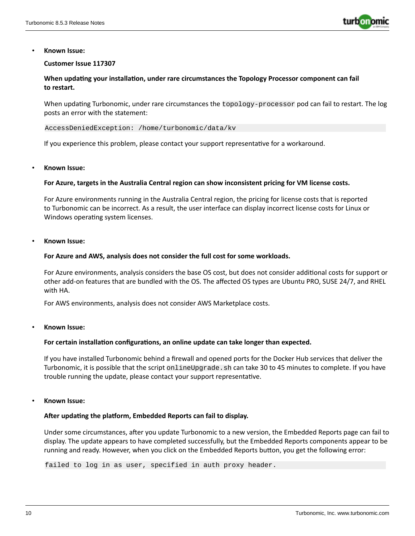

#### **Customer Issue 117307**

#### **When updating your installation, under rare circumstances the Topology Processor component can fail to restart.**

When updating Turbonomic, under rare circumstances the topology-processor pod can fail to restart. The log posts an error with the statement:

AccessDeniedException: /home/turbonomic/data/kv

If you experience this problem, please contact your support representative for a workaround.

#### • **Known Issue:**

#### **For Azure, targets in the Australia Central region can show inconsistent pricing for VM license costs.**

For Azure environments running in the Australia Central region, the pricing for license costs that is reported to Turbonomic can be incorrect. As a result, the user interface can display incorrect license costs for Linux or Windows operating system licenses.

#### • **Known Issue:**

#### **For Azure and AWS, analysis does not consider the full cost for some workloads.**

For Azure environments, analysis considers the base OS cost, but does not consider additional costs for support or other add-on features that are bundled with the OS. The affected OS types are Ubuntu PRO, SUSE 24/7, and RHEL with HA.

For AWS environments, analysis does not consider AWS Marketplace costs.

#### • **Known Issue:**

#### **For certain installation configurations, an online update can take longer than expected.**

If you have installed Turbonomic behind a firewall and opened ports for the Docker Hub services that deliver the Turbonomic, it is possible that the script onlineUpgrade. sh can take 30 to 45 minutes to complete. If you have trouble running the update, please contact your support representative.

#### • **Known Issue:**

#### **After updating the platform, Embedded Reports can fail to display.**

Under some circumstances, after you update Turbonomic to a new version, the Embedded Reports page can fail to display. The update appears to have completed successfully, but the Embedded Reports components appear to be running and ready. However, when you click on the Embedded Reports button, you get the following error:

failed to log in as user, specified in auth proxy header.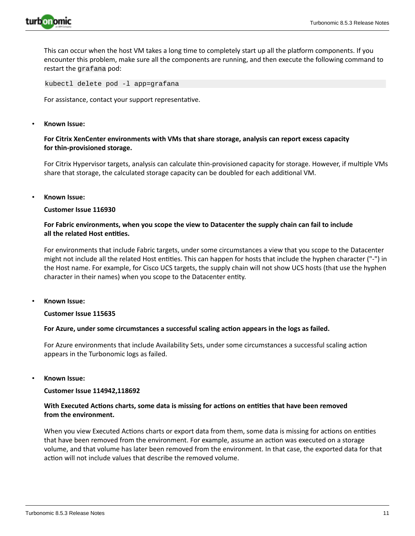

This can occur when the host VM takes a long time to completely start up all the platform components. If you encounter this problem, make sure all the components are running, and then execute the following command to restart the grafana pod:

kubectl delete pod -l app=grafana

For assistance, contact your support representative.

#### • **Known Issue:**

#### **For Citrix XenCenter environments with VMs that share storage, analysis can report excess capacity for thin-provisioned storage.**

For Citrix Hypervisor targets, analysis can calculate thin-provisioned capacity for storage. However, if multiple VMs share that storage, the calculated storage capacity can be doubled for each additional VM.

• **Known Issue:**

#### **Customer Issue 116930**

#### **For Fabric environments, when you scope the view to Datacenter the supply chain can fail to include all the related Host entities.**

For environments that include Fabric targets, under some circumstances a view that you scope to the Datacenter might not include all the related Host entities. This can happen for hosts that include the hyphen character ("-") in the Host name. For example, for Cisco UCS targets, the supply chain will not show UCS hosts (that use the hyphen character in their names) when you scope to the Datacenter entity.

• **Known Issue:**

#### **Customer Issue 115635**

#### **For Azure, under some circumstances a successful scaling action appears in the logs as failed.**

For Azure environments that include Availability Sets, under some circumstances a successful scaling action appears in the Turbonomic logs as failed.

#### • **Known Issue:**

#### **Customer Issue 114942,118692**

#### **With Executed Actions charts, some data is missing for actions on entities that have been removed from the environment.**

When you view Executed Actions charts or export data from them, some data is missing for actions on entities that have been removed from the environment. For example, assume an action was executed on a storage volume, and that volume has later been removed from the environment. In that case, the exported data for that action will not include values that describe the removed volume.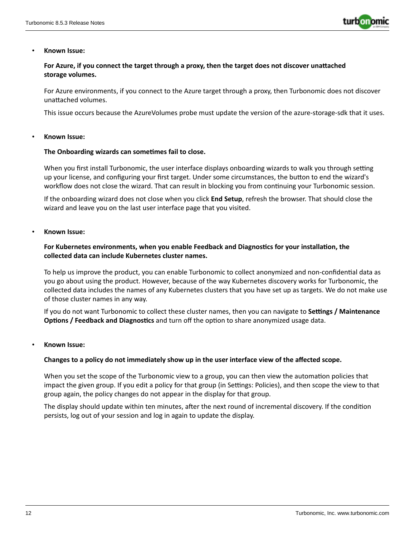

#### **For Azure, if you connect the target through a proxy, then the target does not discover unattached storage volumes.**

For Azure environments, if you connect to the Azure target through a proxy, then Turbonomic does not discover unattached volumes.

This issue occurs because the AzureVolumes probe must update the version of the azure-storage-sdk that it uses.

#### • **Known Issue:**

#### **The Onboarding wizards can sometimes fail to close.**

When you first install Turbonomic, the user interface displays onboarding wizards to walk you through setting up your license, and configuring your first target. Under some circumstances, the button to end the wizard's workflow does not close the wizard. That can result in blocking you from continuing your Turbonomic session.

If the onboarding wizard does not close when you click **End Setup**, refresh the browser. That should close the wizard and leave you on the last user interface page that you visited.

#### • **Known Issue:**

#### **For Kubernetes environments, when you enable Feedback and Diagnostics for your installation, the collected data can include Kubernetes cluster names.**

To help us improve the product, you can enable Turbonomic to collect anonymized and non-confidential data as you go about using the product. However, because of the way Kubernetes discovery works for Turbonomic, the collected data includes the names of any Kubernetes clusters that you have set up as targets. We do not make use of those cluster names in any way.

If you do not want Turbonomic to collect these cluster names, then you can navigate to **Settings / Maintenance Options / Feedback and Diagnostics** and turn off the option to share anonymized usage data.

#### • **Known Issue:**

#### **Changes to a policy do not immediately show up in the user interface view of the affected scope.**

When you set the scope of the Turbonomic view to a group, you can then view the automation policies that impact the given group. If you edit a policy for that group (in Settings: Policies), and then scope the view to that group again, the policy changes do not appear in the display for that group.

The display should update within ten minutes, after the next round of incremental discovery. If the condition persists, log out of your session and log in again to update the display.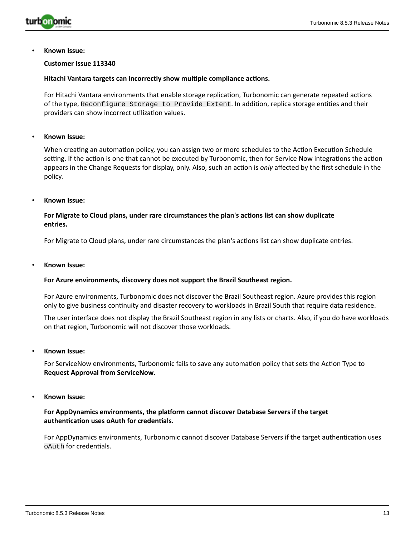

#### **Customer Issue 113340**

#### **Hitachi Vantara targets can incorrectly show multiple compliance actions.**

For Hitachi Vantara environments that enable storage replication, Turbonomic can generate repeated actions of the type, Reconfigure Storage to Provide Extent. In addition, replica storage entities and their providers can show incorrect utilization values.

#### • **Known Issue:**

When creating an automation policy, you can assign two or more schedules to the Action Execution Schedule setting. If the action is one that cannot be executed by Turbonomic, then for Service Now integrations the action appears in the Change Requests for display, only. Also, such an action is *only* affected by the first schedule in the policy.

#### • **Known Issue:**

#### **For Migrate to Cloud plans, under rare circumstances the plan's actions list can show duplicate entries.**

For Migrate to Cloud plans, under rare circumstances the plan's actions list can show duplicate entries.

• **Known Issue:**

#### **For Azure environments, discovery does not support the Brazil Southeast region.**

For Azure environments, Turbonomic does not discover the Brazil Southeast region. Azure provides this region only to give business continuity and disaster recovery to workloads in Brazil South that require data residence.

The user interface does not display the Brazil Southeast region in any lists or charts. Also, if you do have workloads on that region, Turbonomic will not discover those workloads.

• **Known Issue:**

For ServiceNow environments, Turbonomic fails to save any automation policy that sets the Action Type to **Request Approval from ServiceNow**.

• **Known Issue:**

#### **For AppDynamics environments, the platform cannot discover Database Servers if the target authentication uses oAuth for credentials.**

For AppDynamics environments, Turbonomic cannot discover Database Servers if the target authentication uses oAuth for credentials.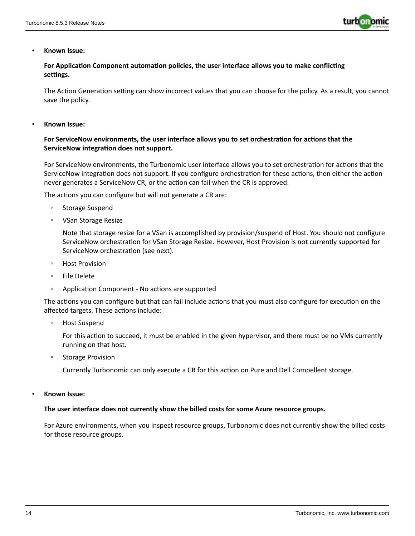

#### **For Application Component automation policies, the user interface allows you to make conflicting settings.**

The Action Generation setting can show incorrect values that you can choose for the policy. As a result, you cannot save the policy.

• **Known Issue:**

#### **For ServiceNow environments, the user interface allows you to set orchestration for actions that the ServiceNow integration does not support.**

For ServiceNow environments, the Turbonomic user interface allows you to set orchestration for actions that the ServiceNow integration does not support. If you configure orchestration for these actions, then either the action never generates a ServiceNow CR, or the action can fail when the CR is approved.

The actions you can configure but will not generate a CR are:

- Storage Suspend
- VSan Storage Resize

Note that storage resize for a VSan is accomplished by provision/suspend of Host. You should not configure ServiceNow orchestration for VSan Storage Resize. However, Host Provision is not currently supported for ServiceNow orchestration (see next).

- Host Provision
- File Delete
- Application Component No actions are supported

The actions you can configure but that can fail include actions that you must also configure for execution on the affected targets. These actions include:

◦ Host Suspend

For this action to succeed, it must be enabled in the given hypervisor, and there must be no VMs currently running on that host.

Storage Provision

Currently Turbonomic can only execute a CR for this action on Pure and Dell Compellent storage.

• **Known Issue:**

#### **The user interface does not currently show the billed costs for some Azure resource groups.**

For Azure environments, when you inspect resource groups, Turbonomic does not currently show the billed costs for those resource groups.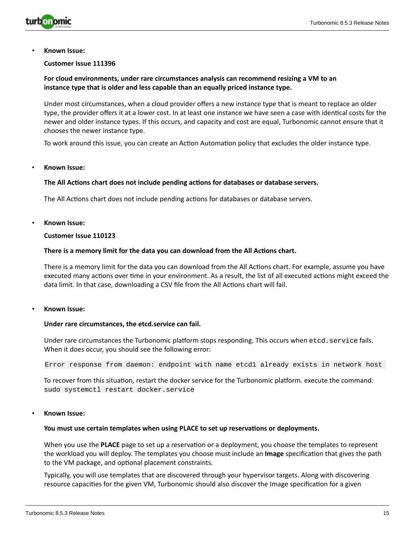

#### **Customer Issue 111396**

#### **For cloud environments, under rare circumstances analysis can recommend resizing a VM to an instance type that is older and less capable than an equally priced instance type.**

Under most circumstances, when a cloud provider offers a new instance type that is meant to replace an older type, the provider offers it at a lower cost. In at least one instance we have seen a case with identical costs for the newer and older instance types. If this occurs, and capacity and cost are equal, Turbonomic cannot ensure that it chooses the newer instance type.

To work around this issue, you can create an Action Automation policy that excludes the older instance type.

#### • **Known Issue:**

#### **The All Actions chart does not include pending actions for databases or database servers.**

The All Actions chart does not include pending actions for databases or database servers.

• **Known Issue:**

#### **Customer Issue 110123**

#### **There is a memory limit for the data you can download from the All Actions chart.**

There is a memory limit for the data you can download from the All Actions chart. For example, assume you have executed many actions over time in your environment. As a result, the list of all executed actions might exceed the data limit. In that case, downloading a CSV file from the All Actions chart will fail.

• **Known Issue:**

#### **Under rare circumstances, the etcd.service can fail.**

Under rare circumstances the Turbonomic platform stops responding. This occurs when etcd.service fails. When it does occur, you should see the following error:

Error response from daemon: endpoint with name etcd1 already exists in network host

To recover from this situation, restart the docker service for the Turbonomic platform. execute the command: sudo systemctl restart docker.service

#### • **Known Issue:**

#### **You must use certain templates when using PLACE to set up reservations or deployments.**

When you use the **PLACE** page to set up a reservation or a deployment, you choose the templates to represent the workload you will deploy. The templates you choose must include an **Image** specification that gives the path to the VM package, and optional placement constraints.

Typically, you will use templates that are discovered through your hypervisor targets. Along with discovering resource capacities for the given VM, Turbonomic should also discover the Image specification for a given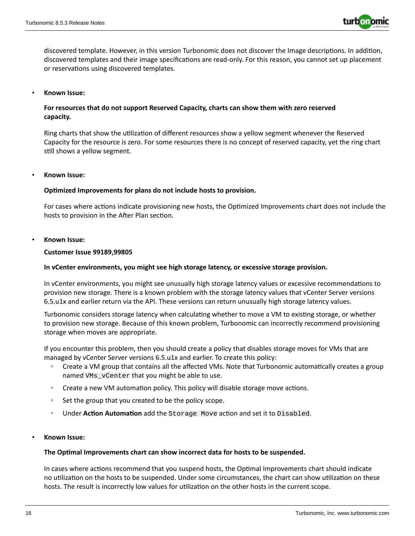

discovered template. However, in this version Turbonomic does not discover the Image descriptions. In addition, discovered templates and their image specifications are read-only. For this reason, you cannot set up placement or reservations using discovered templates.

#### • **Known Issue:**

### **For resources that do not support Reserved Capacity, charts can show them with zero reserved capacity.**

Ring charts that show the utilization of different resources show a yellow segment whenever the Reserved Capacity for the resource is zero. For some resources there is no concept of reserved capacity, yet the ring chart still shows a yellow segment.

#### • **Known Issue:**

#### **Optimized Improvements for plans do not include hosts to provision.**

For cases where actions indicate provisioning new hosts, the Optimized Improvements chart does not include the hosts to provision in the After Plan section.

#### • **Known Issue:**

#### **Customer Issue 99189,99805**

#### **In vCenter environments, you might see high storage latency, or excessive storage provision.**

In vCenter environments, you might see unusually high storage latency values or excessive recommendations to provision new storage. There is a known problem with the storage latency values that vCenter Server versions 6.5.u1x and earlier return via the API. These versions can return unusually high storage latency values.

Turbonomic considers storage latency when calculating whether to move a VM to existing storage, or whether to provision new storage. Because of this known problem, Turbonomic can incorrectly recommend provisioning storage when moves are appropriate.

If you encounter this problem, then you should create a policy that disables storage moves for VMs that are managed by vCenter Server versions 6.5.u1x and earlier. To create this policy:

- Create a VM group that contains all the affected VMs. Note that Turbonomic automatically creates a group named VMs\_vCenter that you might be able to use.
- Create a new VM automation policy. This policy will disable storage move actions.
- Set the group that you created to be the policy scope.
- Under **Action Automation** add the Storage Move action and set it to Disabled.

#### • **Known Issue:**

#### **The Optimal Improvements chart can show incorrect data for hosts to be suspended.**

In cases where actions recommend that you suspend hosts, the Optimal Improvements chart should indicate no utilization on the hosts to be suspended. Under some circumstances, the chart can show utilization on these hosts. The result is incorrectly low values for utilization on the other hosts in the current scope.